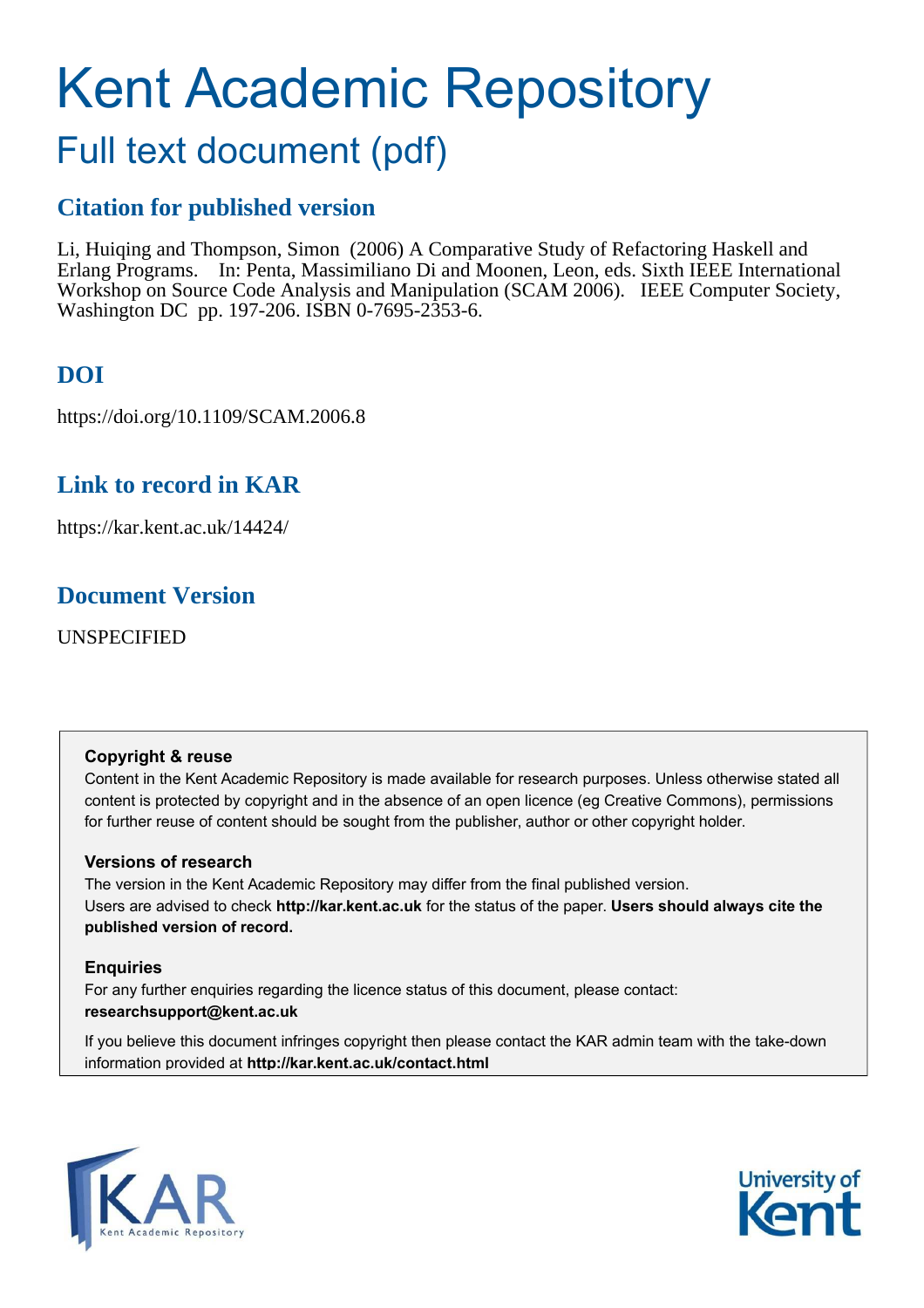# Kent Academic Repository

## Full text document (pdf)

## **Citation for published version**

Li, Huiqing and Thompson, Simon (2006) A Comparative Study of Refactoring Haskell and Erlang Programs. In: Penta, Massimiliano Di and Moonen, Leon, eds. Sixth IEEE International Workshop on Source Code Analysis and Manipulation (SCAM 2006). IEEE Computer Society, Washington DC pp. 197-206. ISBN 0-7695-2353-6.

## **DOI**

https://doi.org/10.1109/SCAM.2006.8

## **Link to record in KAR**

https://kar.kent.ac.uk/14424/

## **Document Version**

UNSPECIFIED

#### **Copyright & reuse**

Content in the Kent Academic Repository is made available for research purposes. Unless otherwise stated all content is protected by copyright and in the absence of an open licence (eg Creative Commons), permissions for further reuse of content should be sought from the publisher, author or other copyright holder.

#### **Versions of research**

The version in the Kent Academic Repository may differ from the final published version. Users are advised to check **http://kar.kent.ac.uk** for the status of the paper. **Users should always cite the published version of record.**

#### **Enquiries**

For any further enquiries regarding the licence status of this document, please contact: **researchsupport@kent.ac.uk**

If you believe this document infringes copyright then please contact the KAR admin team with the take-down information provided at **http://kar.kent.ac.uk/contact.html**



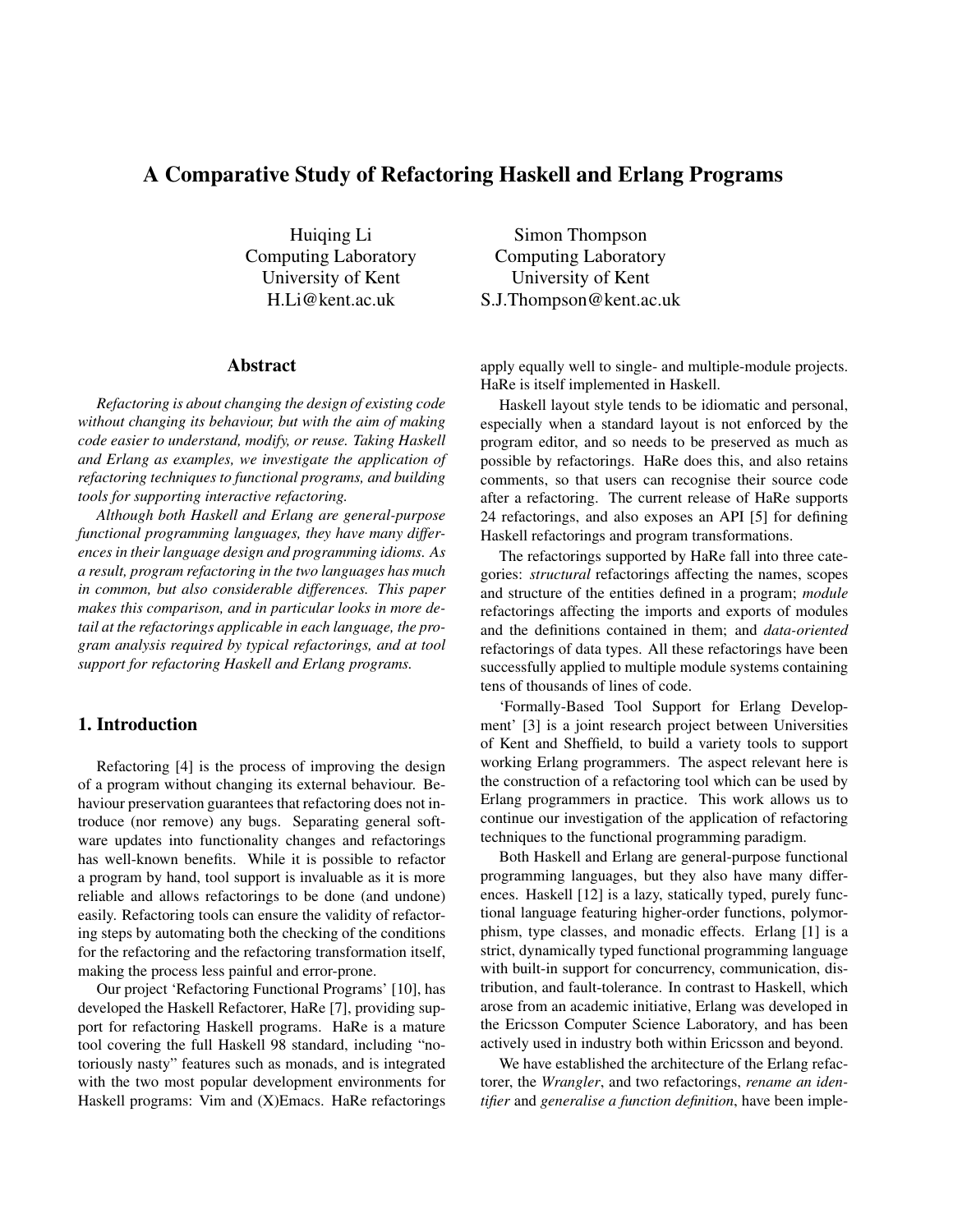#### A Comparative Study of Refactoring Haskell and Erlang Programs

Huiqing Li Computing Laboratory University of Kent H.Li@kent.ac.uk

#### Abstract

*Refactoring is about changing the design of existing code without changing its behaviour, but with the aim of making code easier to understand, modify, or reuse. Taking Haskell and Erlang as examples, we investigate the application of refactoring techniques to functional programs, and building tools for supporting interactive refactoring.*

*Although both Haskell and Erlang are general-purpose functional programming languages, they have many differences in their language design and programming idioms. As a result, program refactoring in the two languages has much in common, but also considerable differences. This paper makes this comparison, and in particular looks in more detail at the refactorings applicable in each language, the program analysis required by typical refactorings, and at tool support for refactoring Haskell and Erlang programs.*

#### 1. Introduction

Refactoring [4] is the process of improving the design of a program without changing its external behaviour. Behaviour preservation guarantees that refactoring does not introduce (nor remove) any bugs. Separating general software updates into functionality changes and refactorings has well-known benefits. While it is possible to refactor a program by hand, tool support is invaluable as it is more reliable and allows refactorings to be done (and undone) easily. Refactoring tools can ensure the validity of refactoring steps by automating both the checking of the conditions for the refactoring and the refactoring transformation itself, making the process less painful and error-prone.

Our project 'Refactoring Functional Programs' [10], has developed the Haskell Refactorer, HaRe [7], providing support for refactoring Haskell programs. HaRe is a mature tool covering the full Haskell 98 standard, including "notoriously nasty" features such as monads, and is integrated with the two most popular development environments for Haskell programs: Vim and (X)Emacs. HaRe refactorings

Simon Thompson Computing Laboratory University of Kent S.J.Thompson@kent.ac.uk

apply equally well to single- and multiple-module projects. HaRe is itself implemented in Haskell.

Haskell layout style tends to be idiomatic and personal, especially when a standard layout is not enforced by the program editor, and so needs to be preserved as much as possible by refactorings. HaRe does this, and also retains comments, so that users can recognise their source code after a refactoring. The current release of HaRe supports 24 refactorings, and also exposes an API [5] for defining Haskell refactorings and program transformations.

The refactorings supported by HaRe fall into three categories: *structural* refactorings affecting the names, scopes and structure of the entities defined in a program; *module* refactorings affecting the imports and exports of modules and the definitions contained in them; and *data-oriented* refactorings of data types. All these refactorings have been successfully applied to multiple module systems containing tens of thousands of lines of code.

'Formally-Based Tool Support for Erlang Development' [3] is a joint research project between Universities of Kent and Sheffield, to build a variety tools to support working Erlang programmers. The aspect relevant here is the construction of a refactoring tool which can be used by Erlang programmers in practice. This work allows us to continue our investigation of the application of refactoring techniques to the functional programming paradigm.

Both Haskell and Erlang are general-purpose functional programming languages, but they also have many differences. Haskell [12] is a lazy, statically typed, purely functional language featuring higher-order functions, polymorphism, type classes, and monadic effects. Erlang [1] is a strict, dynamically typed functional programming language with built-in support for concurrency, communication, distribution, and fault-tolerance. In contrast to Haskell, which arose from an academic initiative, Erlang was developed in the Ericsson Computer Science Laboratory, and has been actively used in industry both within Ericsson and beyond.

We have established the architecture of the Erlang refactorer, the *Wrangler*, and two refactorings, *rename an identifier* and *generalise a function definition*, have been imple-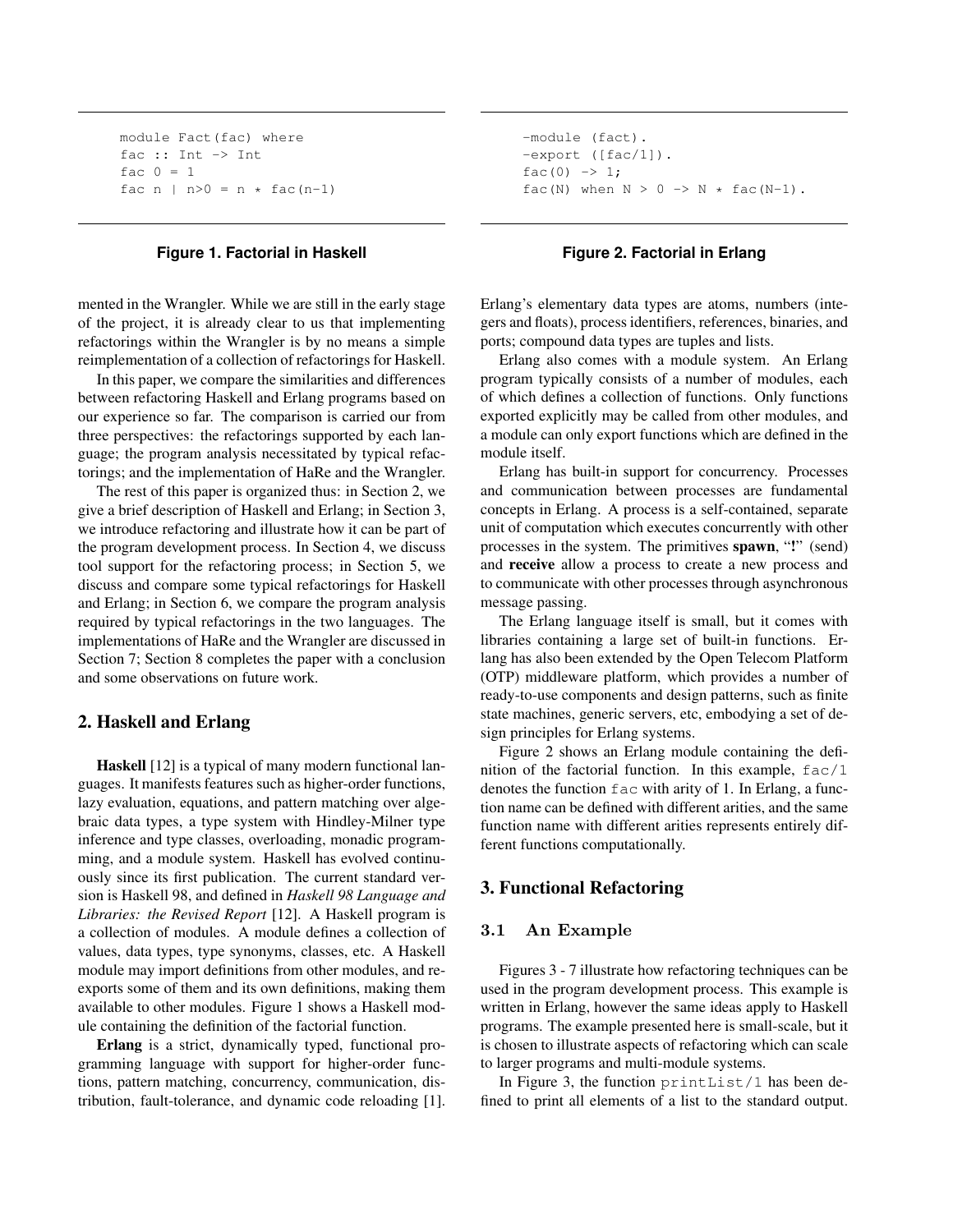```
module Fact(fac) where
fac :: Int -> Int
fac 0 = 1fac n | n > 0 = n * fac(n-1)
```
#### **Figure 1. Factorial in Haskell**

mented in the Wrangler. While we are still in the early stage of the project, it is already clear to us that implementing refactorings within the Wrangler is by no means a simple reimplementation of a collection of refactorings for Haskell.

In this paper, we compare the similarities and differences between refactoring Haskell and Erlang programs based on our experience so far. The comparison is carried our from three perspectives: the refactorings supported by each language; the program analysis necessitated by typical refactorings; and the implementation of HaRe and the Wrangler.

The rest of this paper is organized thus: in Section 2, we give a brief description of Haskell and Erlang; in Section 3, we introduce refactoring and illustrate how it can be part of the program development process. In Section 4, we discuss tool support for the refactoring process; in Section 5, we discuss and compare some typical refactorings for Haskell and Erlang; in Section 6, we compare the program analysis required by typical refactorings in the two languages. The implementations of HaRe and the Wrangler are discussed in Section 7; Section 8 completes the paper with a conclusion and some observations on future work.

#### 2. Haskell and Erlang

Haskell [12] is a typical of many modern functional languages. It manifests features such as higher-order functions, lazy evaluation, equations, and pattern matching over algebraic data types, a type system with Hindley-Milner type inference and type classes, overloading, monadic programming, and a module system. Haskell has evolved continuously since its first publication. The current standard version is Haskell 98, and defined in *Haskell 98 Language and Libraries: the Revised Report* [12]. A Haskell program is a collection of modules. A module defines a collection of values, data types, type synonyms, classes, etc. A Haskell module may import definitions from other modules, and reexports some of them and its own definitions, making them available to other modules. Figure 1 shows a Haskell module containing the definition of the factorial function.

Erlang is a strict, dynamically typed, functional programming language with support for higher-order functions, pattern matching, concurrency, communication, distribution, fault-tolerance, and dynamic code reloading [1].

```
-module (fact).
-export ([fac/1]).
fac(0) \rightarrow 1;fac(N) when N > 0 \rightarrow N * fac(N-1).
```
#### **Figure 2. Factorial in Erlang**

Erlang's elementary data types are atoms, numbers (integers and floats), process identifiers, references, binaries, and ports; compound data types are tuples and lists.

Erlang also comes with a module system. An Erlang program typically consists of a number of modules, each of which defines a collection of functions. Only functions exported explicitly may be called from other modules, and a module can only export functions which are defined in the module itself.

Erlang has built-in support for concurrency. Processes and communication between processes are fundamental concepts in Erlang. A process is a self-contained, separate unit of computation which executes concurrently with other processes in the system. The primitives spawn, "!" (send) and receive allow a process to create a new process and to communicate with other processes through asynchronous message passing.

The Erlang language itself is small, but it comes with libraries containing a large set of built-in functions. Erlang has also been extended by the Open Telecom Platform (OTP) middleware platform, which provides a number of ready-to-use components and design patterns, such as finite state machines, generic servers, etc, embodying a set of design principles for Erlang systems.

Figure 2 shows an Erlang module containing the definition of the factorial function. In this example, fac/1 denotes the function fac with arity of 1. In Erlang, a function name can be defined with different arities, and the same function name with different arities represents entirely different functions computationally.

#### 3. Functional Refactoring

#### 3.1 An Example

Figures 3 - 7 illustrate how refactoring techniques can be used in the program development process. This example is written in Erlang, however the same ideas apply to Haskell programs. The example presented here is small-scale, but it is chosen to illustrate aspects of refactoring which can scale to larger programs and multi-module systems.

In Figure 3, the function  $\text{printList}/1$  has been defined to print all elements of a list to the standard output.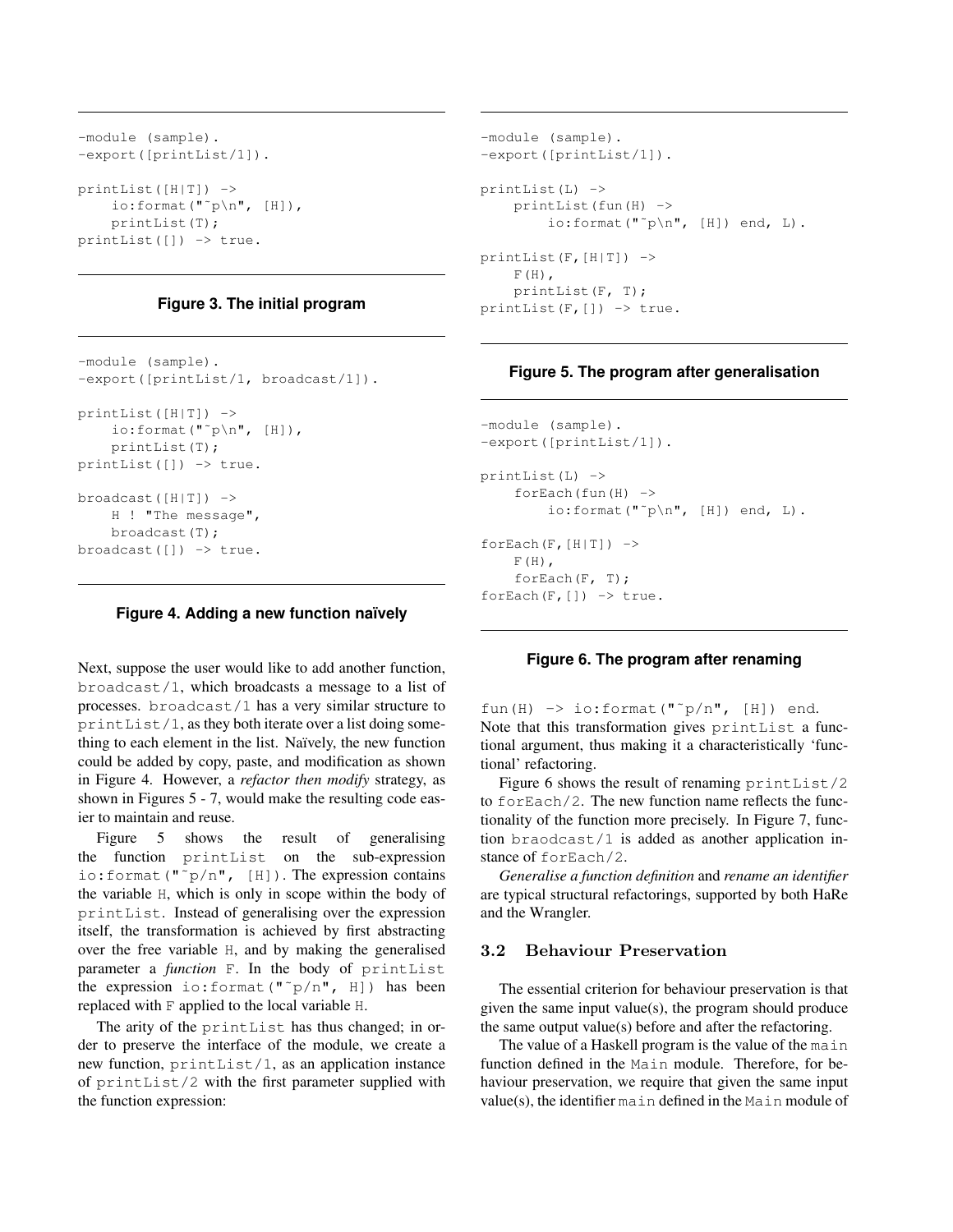```
-module (sample).
-export([printList/1]).
printList([H|T]) ->
    io:format("˜p\n", [H]),
    printList(T);
printList([]) -> true.
```
#### **Figure 3. The initial program**

```
-module (sample).
-export([printList/1, broadcast/1]).
printList([H|T]) ->
    io:format("~p \n\cdot n", [H]),
    printList(T);
printList([]) -> true.
broadcast([H|T]) ->
    H ! "The message",
    broadcast(T);
broadcast([]) -> true.
```
#### **Figure 4. Adding a new function na¨ıvely**

Next, suppose the user would like to add another function, broadcast/1, which broadcasts a message to a list of processes. broadcast/1 has a very similar structure to printList/1, as they both iterate over a list doing something to each element in the list. Naïvely, the new function could be added by copy, paste, and modification as shown in Figure 4. However, a *refactor then modify* strategy, as shown in Figures 5 - 7, would make the resulting code easier to maintain and reuse.

Figure 5 shows the result of generalising the function printList on the sub-expression io:format("˜p/n", [H]). The expression contains the variable H, which is only in scope within the body of printList. Instead of generalising over the expression itself, the transformation is achieved by first abstracting over the free variable H, and by making the generalised parameter a *function* F. In the body of printList the expression io: format (" $p/n$ ", H]) has been replaced with F applied to the local variable H.

The arity of the printList has thus changed; in order to preserve the interface of the module, we create a new function, printList/1, as an application instance of printList/2 with the first parameter supplied with the function expression:

```
-module (sample).
-export([printList/1]).
printList(L) ->
    printList(fun(H) ->
        io:format("˜p\n", [H]) end, L).
printList(F, [H|T]) \rightarrowF(H),
    printList(F, T);
printList(F,[]) -> true.
```
#### **Figure 5. The program after generalisation**

```
-module (sample).
-export([printList/1]).
printList(L) ->
    for Each (fun(H) ->
        io:format("\gammap\n", [H]) end, L).
forEach(F,[H|T]) ->
    F(H),
    forEach(F, T);
forEach(F, []) -> true.
```
#### **Figure 6. The program after renaming**

fun(H)  $\rightarrow$  io:format("~p/n", [H]) end. Note that this transformation gives printList a functional argument, thus making it a characteristically 'functional' refactoring.

Figure 6 shows the result of renaming printList/2 to forEach/2. The new function name reflects the functionality of the function more precisely. In Figure 7, function braodcast/1 is added as another application instance of forEach/2.

*Generalise a function definition* and *rename an identifier* are typical structural refactorings, supported by both HaRe and the Wrangler.

#### 3.2 Behaviour Preservation

The essential criterion for behaviour preservation is that given the same input value(s), the program should produce the same output value(s) before and after the refactoring.

The value of a Haskell program is the value of the main function defined in the Main module. Therefore, for behaviour preservation, we require that given the same input value(s), the identifier main defined in the Main module of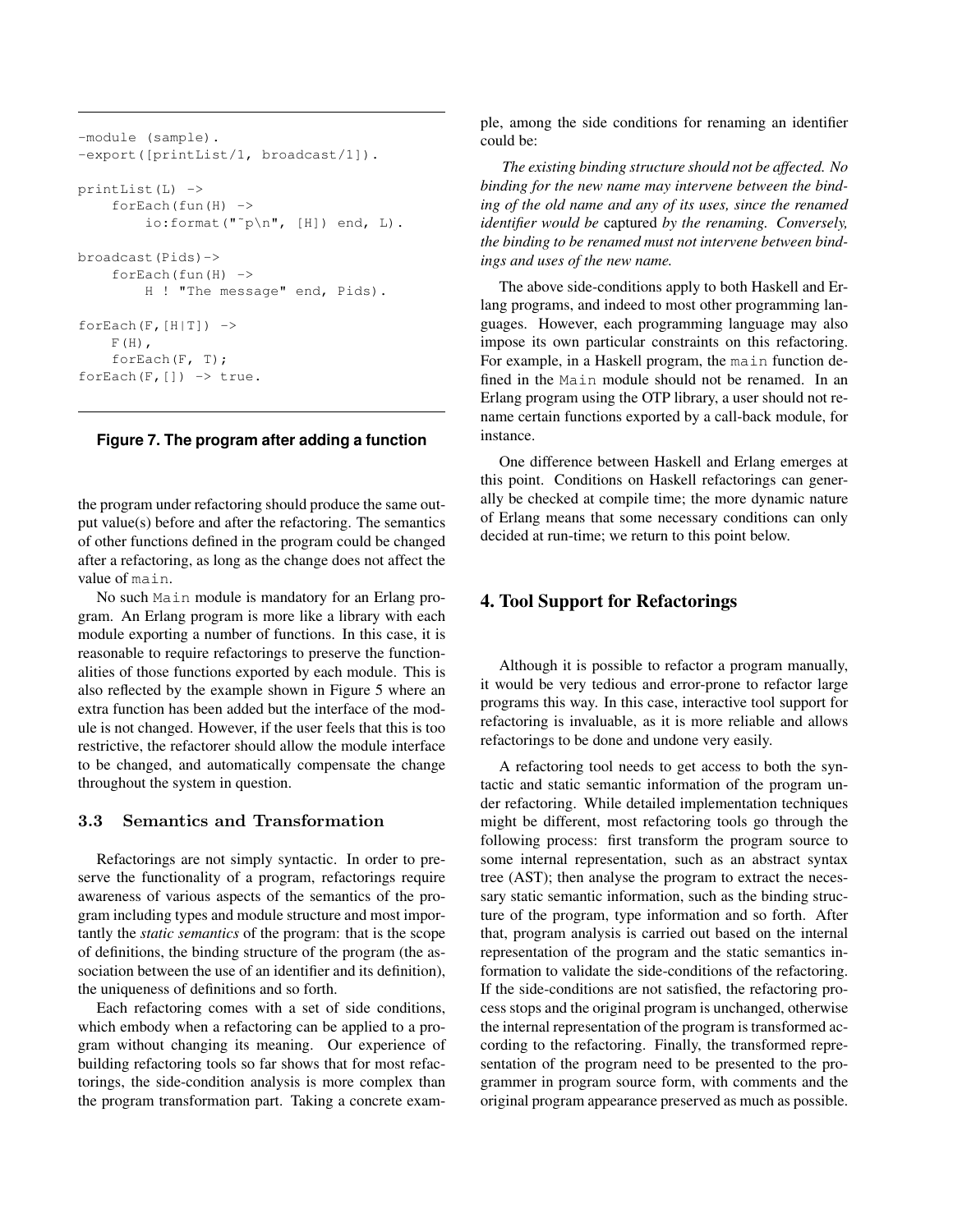```
-module (sample).
-export([printList/1, broadcast/1]).
printList(L) ->
    forEach(fun(H) ->
        io:format("~p \nmid n", [H]) end, L).
broadcast(Pids)->
    forEach(fun(H) ->
        H ! "The message" end, Pids).
forEach(F, [H|T]) ->
    F(H),
    forEach(F, T);
forEach(F, []) -> true.
```
#### **Figure 7. The program after adding a function**

the program under refactoring should produce the same output value(s) before and after the refactoring. The semantics of other functions defined in the program could be changed after a refactoring, as long as the change does not affect the value of main.

No such Main module is mandatory for an Erlang program. An Erlang program is more like a library with each module exporting a number of functions. In this case, it is reasonable to require refactorings to preserve the functionalities of those functions exported by each module. This is also reflected by the example shown in Figure 5 where an extra function has been added but the interface of the module is not changed. However, if the user feels that this is too restrictive, the refactorer should allow the module interface to be changed, and automatically compensate the change throughout the system in question.

#### 3.3 Semantics and Transformation

Refactorings are not simply syntactic. In order to preserve the functionality of a program, refactorings require awareness of various aspects of the semantics of the program including types and module structure and most importantly the *static semantics* of the program: that is the scope of definitions, the binding structure of the program (the association between the use of an identifier and its definition), the uniqueness of definitions and so forth.

Each refactoring comes with a set of side conditions, which embody when a refactoring can be applied to a program without changing its meaning. Our experience of building refactoring tools so far shows that for most refactorings, the side-condition analysis is more complex than the program transformation part. Taking a concrete example, among the side conditions for renaming an identifier could be:

*The existing binding structure should not be affected. No binding for the new name may intervene between the binding of the old name and any of its uses, since the renamed identifier would be* captured *by the renaming. Conversely, the binding to be renamed must not intervene between bindings and uses of the new name.*

The above side-conditions apply to both Haskell and Erlang programs, and indeed to most other programming languages. However, each programming language may also impose its own particular constraints on this refactoring. For example, in a Haskell program, the main function defined in the Main module should not be renamed. In an Erlang program using the OTP library, a user should not rename certain functions exported by a call-back module, for instance.

One difference between Haskell and Erlang emerges at this point. Conditions on Haskell refactorings can generally be checked at compile time; the more dynamic nature of Erlang means that some necessary conditions can only decided at run-time; we return to this point below.

#### 4. Tool Support for Refactorings

Although it is possible to refactor a program manually, it would be very tedious and error-prone to refactor large programs this way. In this case, interactive tool support for refactoring is invaluable, as it is more reliable and allows refactorings to be done and undone very easily.

A refactoring tool needs to get access to both the syntactic and static semantic information of the program under refactoring. While detailed implementation techniques might be different, most refactoring tools go through the following process: first transform the program source to some internal representation, such as an abstract syntax tree (AST); then analyse the program to extract the necessary static semantic information, such as the binding structure of the program, type information and so forth. After that, program analysis is carried out based on the internal representation of the program and the static semantics information to validate the side-conditions of the refactoring. If the side-conditions are not satisfied, the refactoring process stops and the original program is unchanged, otherwise the internal representation of the program is transformed according to the refactoring. Finally, the transformed representation of the program need to be presented to the programmer in program source form, with comments and the original program appearance preserved as much as possible.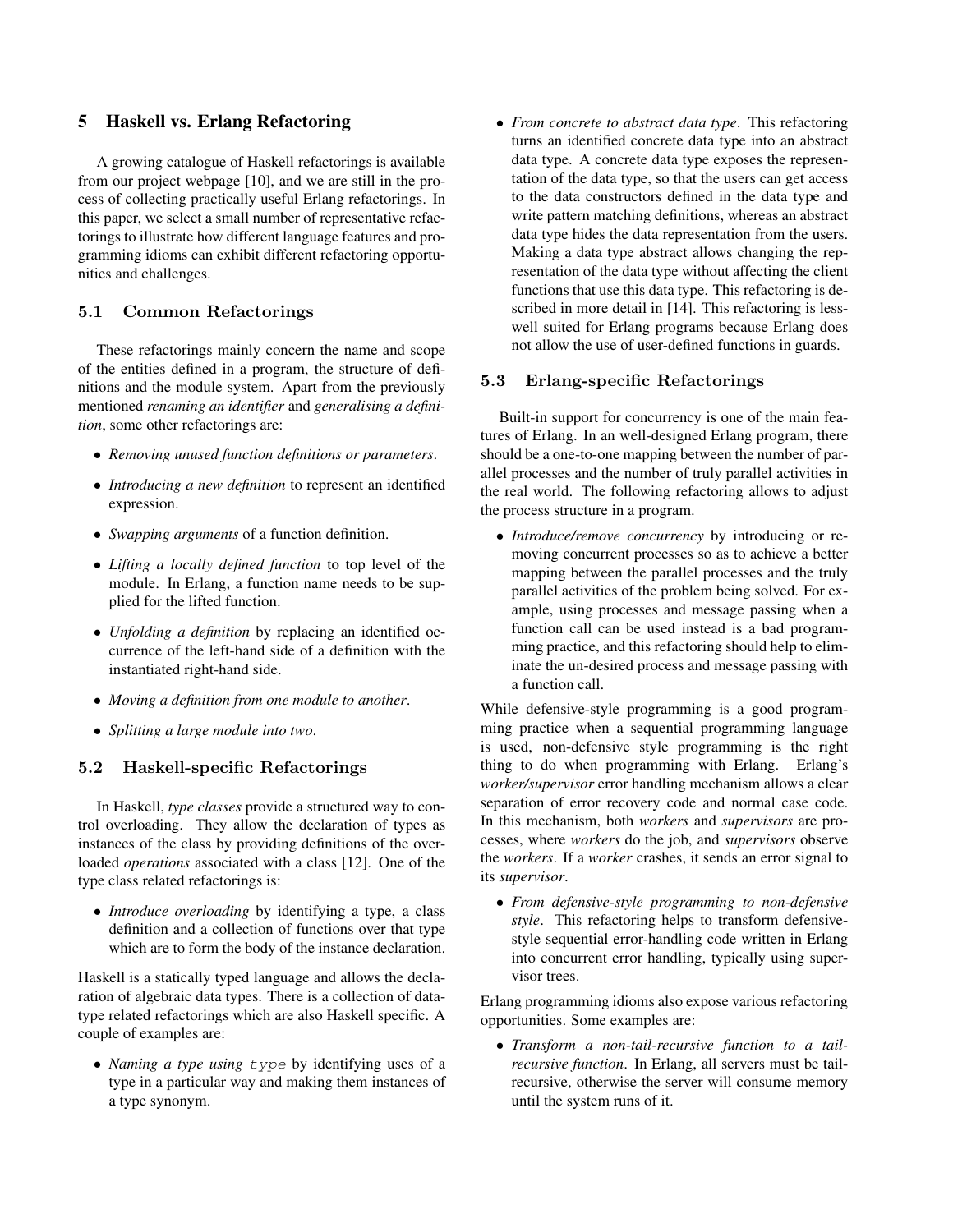#### 5 Haskell vs. Erlang Refactoring

A growing catalogue of Haskell refactorings is available from our project webpage [10], and we are still in the process of collecting practically useful Erlang refactorings. In this paper, we select a small number of representative refactorings to illustrate how different language features and programming idioms can exhibit different refactoring opportunities and challenges.

#### 5.1 Common Refactorings

These refactorings mainly concern the name and scope of the entities defined in a program, the structure of definitions and the module system. Apart from the previously mentioned *renaming an identifier* and *generalising a definition*, some other refactorings are:

- *Removing unused function definitions or parameters*.
- *Introducing a new definition* to represent an identified expression.
- *Swapping arguments* of a function definition.
- *Lifting a locally defined function* to top level of the module. In Erlang, a function name needs to be supplied for the lifted function.
- *Unfolding a definition* by replacing an identified occurrence of the left-hand side of a definition with the instantiated right-hand side.
- *Moving a definition from one module to another*.
- *Splitting a large module into two*.

#### 5.2 Haskell-specific Refactorings

In Haskell, *type classes* provide a structured way to control overloading. They allow the declaration of types as instances of the class by providing definitions of the overloaded *operations* associated with a class [12]. One of the type class related refactorings is:

• *Introduce overloading* by identifying a type, a class definition and a collection of functions over that type which are to form the body of the instance declaration.

Haskell is a statically typed language and allows the declaration of algebraic data types. There is a collection of datatype related refactorings which are also Haskell specific. A couple of examples are:

• *Naming a type using* type by identifying uses of a type in a particular way and making them instances of a type synonym.

• *From concrete to abstract data type*. This refactoring turns an identified concrete data type into an abstract data type. A concrete data type exposes the representation of the data type, so that the users can get access to the data constructors defined in the data type and write pattern matching definitions, whereas an abstract data type hides the data representation from the users. Making a data type abstract allows changing the representation of the data type without affecting the client functions that use this data type. This refactoring is described in more detail in [14]. This refactoring is lesswell suited for Erlang programs because Erlang does not allow the use of user-defined functions in guards.

#### 5.3 Erlang-specific Refactorings

Built-in support for concurrency is one of the main features of Erlang. In an well-designed Erlang program, there should be a one-to-one mapping between the number of parallel processes and the number of truly parallel activities in the real world. The following refactoring allows to adjust the process structure in a program.

• *Introduce/remove concurrency* by introducing or removing concurrent processes so as to achieve a better mapping between the parallel processes and the truly parallel activities of the problem being solved. For example, using processes and message passing when a function call can be used instead is a bad programming practice, and this refactoring should help to eliminate the un-desired process and message passing with a function call.

While defensive-style programming is a good programming practice when a sequential programming language is used, non-defensive style programming is the right thing to do when programming with Erlang. Erlang's *worker/supervisor* error handling mechanism allows a clear separation of error recovery code and normal case code. In this mechanism, both *workers* and *supervisors* are processes, where *workers* do the job, and *supervisors* observe the *workers*. If a *worker* crashes, it sends an error signal to its *supervisor*.

• *From defensive-style programming to non-defensive style*. This refactoring helps to transform defensivestyle sequential error-handling code written in Erlang into concurrent error handling, typically using supervisor trees.

Erlang programming idioms also expose various refactoring opportunities. Some examples are:

• *Transform a non-tail-recursive function to a tailrecursive function*. In Erlang, all servers must be tailrecursive, otherwise the server will consume memory until the system runs of it.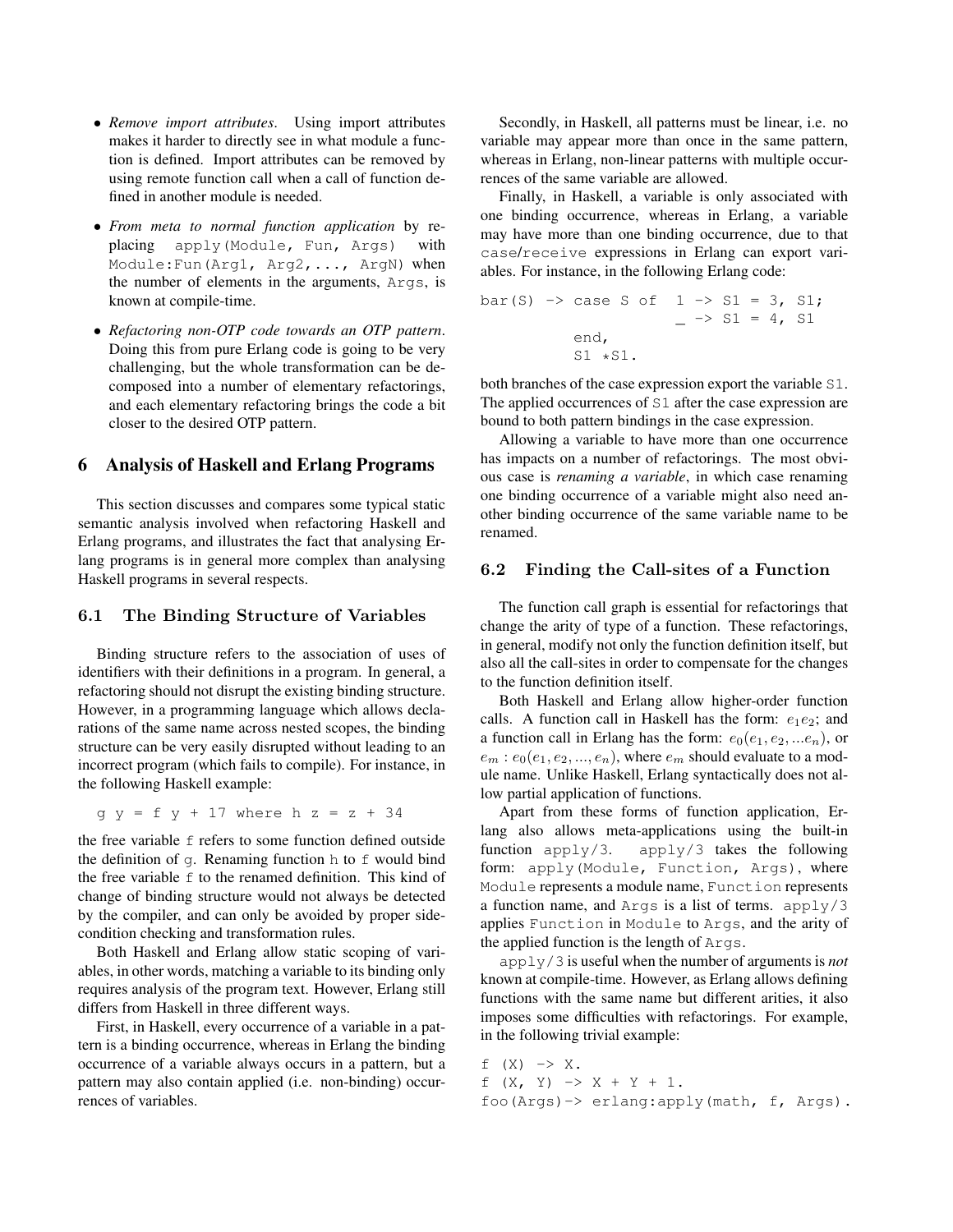- *Remove import attributes*. Using import attributes makes it harder to directly see in what module a function is defined. Import attributes can be removed by using remote function call when a call of function defined in another module is needed.
- *From meta to normal function application* by replacing apply(Module, Fun, Args) with Module:Fun(Arg1, Arg2,..., ArgN) when the number of elements in the arguments, Args, is known at compile-time.
- *Refactoring non-OTP code towards an OTP pattern*. Doing this from pure Erlang code is going to be very challenging, but the whole transformation can be decomposed into a number of elementary refactorings, and each elementary refactoring brings the code a bit closer to the desired OTP pattern.

#### 6 Analysis of Haskell and Erlang Programs

This section discusses and compares some typical static semantic analysis involved when refactoring Haskell and Erlang programs, and illustrates the fact that analysing Erlang programs is in general more complex than analysing Haskell programs in several respects.

#### 6.1 The Binding Structure of Variables

Binding structure refers to the association of uses of identifiers with their definitions in a program. In general, a refactoring should not disrupt the existing binding structure. However, in a programming language which allows declarations of the same name across nested scopes, the binding structure can be very easily disrupted without leading to an incorrect program (which fails to compile). For instance, in the following Haskell example:

 $g \, y = f \, y + 17$  where  $h \, z = z + 34$ 

the free variable f refers to some function defined outside the definition of g. Renaming function h to f would bind the free variable f to the renamed definition. This kind of change of binding structure would not always be detected by the compiler, and can only be avoided by proper sidecondition checking and transformation rules.

Both Haskell and Erlang allow static scoping of variables, in other words, matching a variable to its binding only requires analysis of the program text. However, Erlang still differs from Haskell in three different ways.

First, in Haskell, every occurrence of a variable in a pattern is a binding occurrence, whereas in Erlang the binding occurrence of a variable always occurs in a pattern, but a pattern may also contain applied (i.e. non-binding) occurrences of variables.

Secondly, in Haskell, all patterns must be linear, i.e. no variable may appear more than once in the same pattern, whereas in Erlang, non-linear patterns with multiple occurrences of the same variable are allowed.

Finally, in Haskell, a variable is only associated with one binding occurrence, whereas in Erlang, a variable may have more than one binding occurrence, due to that case/receive expressions in Erlang can export variables. For instance, in the following Erlang code:

bar(S) 
$$
\rightarrow
$$
 case S of 1  $\rightarrow$  SI = 3, SI;  
\n $\begin{array}{r} - > S1 = 4, SI \\ - > SI = 4, SI \\ \end{array}$ 

both branches of the case expression export the variable S1. The applied occurrences of S1 after the case expression are bound to both pattern bindings in the case expression.

Allowing a variable to have more than one occurrence has impacts on a number of refactorings. The most obvious case is *renaming a variable*, in which case renaming one binding occurrence of a variable might also need another binding occurrence of the same variable name to be renamed.

#### 6.2 Finding the Call-sites of a Function

The function call graph is essential for refactorings that change the arity of type of a function. These refactorings, in general, modify not only the function definition itself, but also all the call-sites in order to compensate for the changes to the function definition itself.

Both Haskell and Erlang allow higher-order function calls. A function call in Haskell has the form:  $e_1e_2$ ; and a function call in Erlang has the form:  $e_0(e_1, e_2, ... e_n)$ , or  $e_m$ :  $e_0(e_1, e_2, ..., e_n)$ , where  $e_m$  should evaluate to a module name. Unlike Haskell, Erlang syntactically does not allow partial application of functions.

Apart from these forms of function application, Erlang also allows meta-applications using the built-in function apply/3. apply/3 takes the following form: apply(Module, Function, Args), where Module represents a module name, Function represents a function name, and Args is a list of terms. apply/3 applies Function in Module to Args, and the arity of the applied function is the length of Args.

apply/3 is useful when the number of arguments is *not* known at compile-time. However, as Erlang allows defining functions with the same name but different arities, it also imposes some difficulties with refactorings. For example, in the following trivial example:

```
f (X) \rightarrow X.
f (X, Y) \rightarrow X + Y + 1.
foo(Args)-> erlang:apply(math, f, Args).
```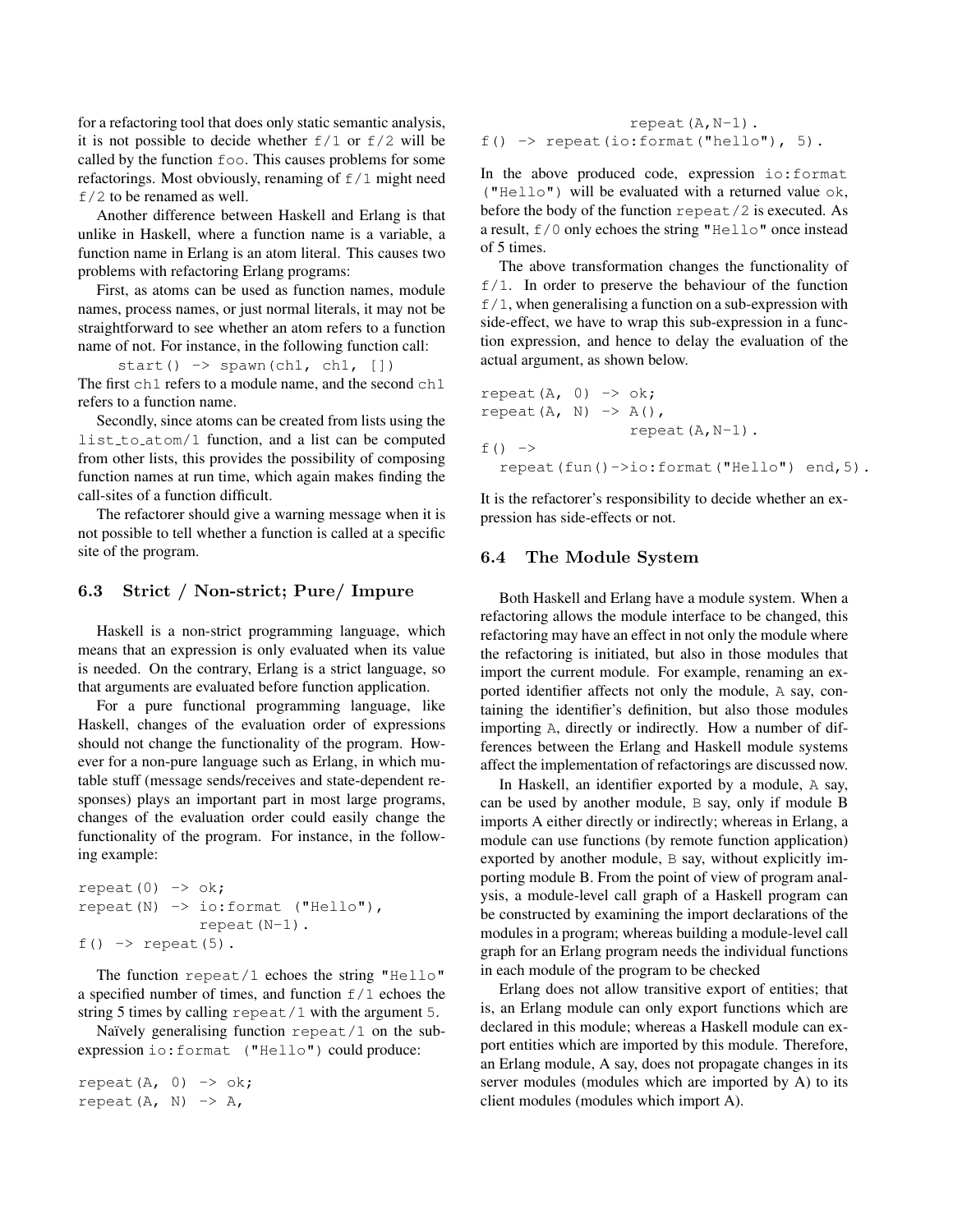for a refactoring tool that does only static semantic analysis, it is not possible to decide whether  $f/1$  or  $f/2$  will be called by the function foo. This causes problems for some refactorings. Most obviously, renaming of  $f/1$  might need f/2 to be renamed as well.

Another difference between Haskell and Erlang is that unlike in Haskell, where a function name is a variable, a function name in Erlang is an atom literal. This causes two problems with refactoring Erlang programs:

First, as atoms can be used as function names, module names, process names, or just normal literals, it may not be straightforward to see whether an atom refers to a function name of not. For instance, in the following function call:

start()  $\rightarrow$  spawn(ch1, ch1, [])

The first ch1 refers to a module name, and the second ch1 refers to a function name.

Secondly, since atoms can be created from lists using the list to atom/1 function, and a list can be computed from other lists, this provides the possibility of composing function names at run time, which again makes finding the call-sites of a function difficult.

The refactorer should give a warning message when it is not possible to tell whether a function is called at a specific site of the program.

#### 6.3 Strict / Non-strict; Pure/ Impure

Haskell is a non-strict programming language, which means that an expression is only evaluated when its value is needed. On the contrary, Erlang is a strict language, so that arguments are evaluated before function application.

For a pure functional programming language, like Haskell, changes of the evaluation order of expressions should not change the functionality of the program. However for a non-pure language such as Erlang, in which mutable stuff (message sends/receives and state-dependent responses) plays an important part in most large programs, changes of the evaluation order could easily change the functionality of the program. For instance, in the following example:

```
repeat(0) -> ok;
repeat(N) -> io:format ("Hello"),
               repeat(N-1).
f() \rightarrow repeat(5).
```
The function repeat/1 echoes the string "Hello" a specified number of times, and function  $f/1$  echoes the string 5 times by calling repeat/1 with the argument 5.

Naïvely generalising function repeat/1 on the subexpression io:format ("Hello") could produce:

repeat $(A, 0) \rightarrow ok;$ repeat $(A, N) \rightarrow A$ ,

$$
\text{repeat}(A, N-1).
$$
\n
$$
f() \rightarrow \text{repeat}(i \text{of} \text{ormat}("hello"), 5).
$$

In the above produced code, expression io:format ("Hello") will be evaluated with a returned value ok, before the body of the function repeat/2 is executed. As a result, f/0 only echoes the string "Hello" once instead of 5 times.

The above transformation changes the functionality of  $f/1$ . In order to preserve the behaviour of the function  $f/1$ , when generalising a function on a sub-expression with side-effect, we have to wrap this sub-expression in a function expression, and hence to delay the evaluation of the actual argument, as shown below.

```
repeat(A, 0) \rightarrow \infty;repeat(A, N) \rightarrow A(),
                     repeat(A, N-1).
f() \rightarrowrepeat(fun()->io:format("Hello") end,5).
```
It is the refactorer's responsibility to decide whether an expression has side-effects or not.

#### 6.4 The Module System

Both Haskell and Erlang have a module system. When a refactoring allows the module interface to be changed, this refactoring may have an effect in not only the module where the refactoring is initiated, but also in those modules that import the current module. For example, renaming an exported identifier affects not only the module, A say, containing the identifier's definition, but also those modules importing A, directly or indirectly. How a number of differences between the Erlang and Haskell module systems affect the implementation of refactorings are discussed now.

In Haskell, an identifier exported by a module, A say, can be used by another module, B say, only if module B imports A either directly or indirectly; whereas in Erlang, a module can use functions (by remote function application) exported by another module, B say, without explicitly importing module B. From the point of view of program analysis, a module-level call graph of a Haskell program can be constructed by examining the import declarations of the modules in a program; whereas building a module-level call graph for an Erlang program needs the individual functions in each module of the program to be checked

Erlang does not allow transitive export of entities; that is, an Erlang module can only export functions which are declared in this module; whereas a Haskell module can export entities which are imported by this module. Therefore, an Erlang module, A say, does not propagate changes in its server modules (modules which are imported by A) to its client modules (modules which import A).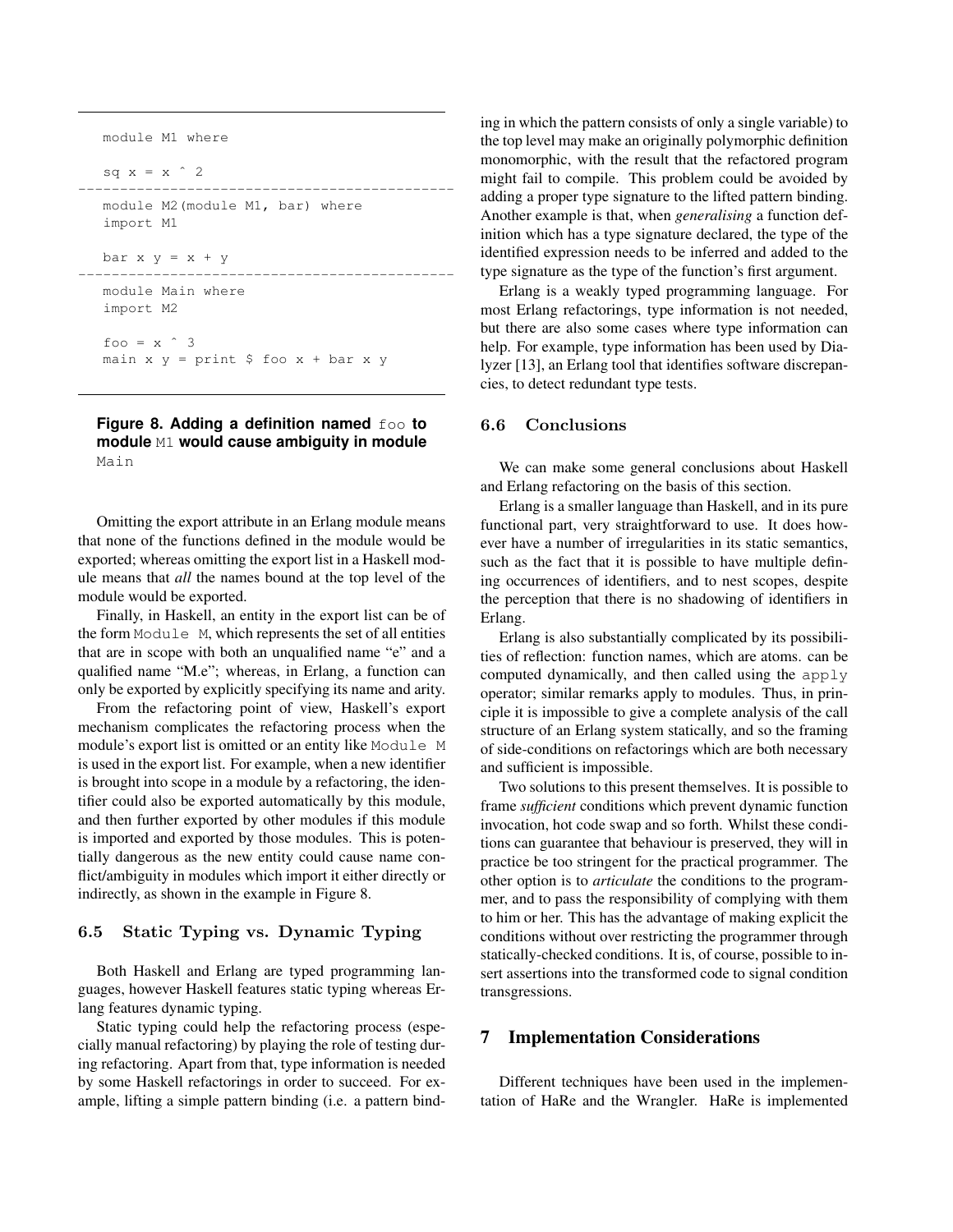| module M1 where                                                            |
|----------------------------------------------------------------------------|
| sq $x = x^2$ 2                                                             |
| module M2 (module M1, bar) where<br>import M1                              |
| $bar x y = x + y$                                                          |
| module Main where<br>import M2                                             |
| $f \circ \circ = x$ $\hat{ }$ 3<br>main $x y = print$ \$ foo $x + bar x y$ |

#### **Figure 8. Adding a definition named** foo **to module** M1 **would cause ambiguity in module** Main

Omitting the export attribute in an Erlang module means that none of the functions defined in the module would be exported; whereas omitting the export list in a Haskell module means that *all* the names bound at the top level of the module would be exported.

Finally, in Haskell, an entity in the export list can be of the form Module M, which represents the set of all entities that are in scope with both an unqualified name "e" and a qualified name "M.e"; whereas, in Erlang, a function can only be exported by explicitly specifying its name and arity.

From the refactoring point of view, Haskell's export mechanism complicates the refactoring process when the module's export list is omitted or an entity like Module M is used in the export list. For example, when a new identifier is brought into scope in a module by a refactoring, the identifier could also be exported automatically by this module, and then further exported by other modules if this module is imported and exported by those modules. This is potentially dangerous as the new entity could cause name conflict/ambiguity in modules which import it either directly or indirectly, as shown in the example in Figure 8.

#### 6.5 Static Typing vs. Dynamic Typing

Both Haskell and Erlang are typed programming languages, however Haskell features static typing whereas Erlang features dynamic typing.

Static typing could help the refactoring process (especially manual refactoring) by playing the role of testing during refactoring. Apart from that, type information is needed by some Haskell refactorings in order to succeed. For example, lifting a simple pattern binding (i.e. a pattern binding in which the pattern consists of only a single variable) to the top level may make an originally polymorphic definition monomorphic, with the result that the refactored program might fail to compile. This problem could be avoided by adding a proper type signature to the lifted pattern binding. Another example is that, when *generalising* a function definition which has a type signature declared, the type of the identified expression needs to be inferred and added to the type signature as the type of the function's first argument.

Erlang is a weakly typed programming language. For most Erlang refactorings, type information is not needed, but there are also some cases where type information can help. For example, type information has been used by Dialyzer [13], an Erlang tool that identifies software discrepancies, to detect redundant type tests.

#### 6.6 Conclusions

We can make some general conclusions about Haskell and Erlang refactoring on the basis of this section.

Erlang is a smaller language than Haskell, and in its pure functional part, very straightforward to use. It does however have a number of irregularities in its static semantics, such as the fact that it is possible to have multiple defining occurrences of identifiers, and to nest scopes, despite the perception that there is no shadowing of identifiers in Erlang.

Erlang is also substantially complicated by its possibilities of reflection: function names, which are atoms. can be computed dynamically, and then called using the apply operator; similar remarks apply to modules. Thus, in principle it is impossible to give a complete analysis of the call structure of an Erlang system statically, and so the framing of side-conditions on refactorings which are both necessary and sufficient is impossible.

Two solutions to this present themselves. It is possible to frame *sufficient* conditions which prevent dynamic function invocation, hot code swap and so forth. Whilst these conditions can guarantee that behaviour is preserved, they will in practice be too stringent for the practical programmer. The other option is to *articulate* the conditions to the programmer, and to pass the responsibility of complying with them to him or her. This has the advantage of making explicit the conditions without over restricting the programmer through statically-checked conditions. It is, of course, possible to insert assertions into the transformed code to signal condition transgressions.

#### 7 Implementation Considerations

Different techniques have been used in the implementation of HaRe and the Wrangler. HaRe is implemented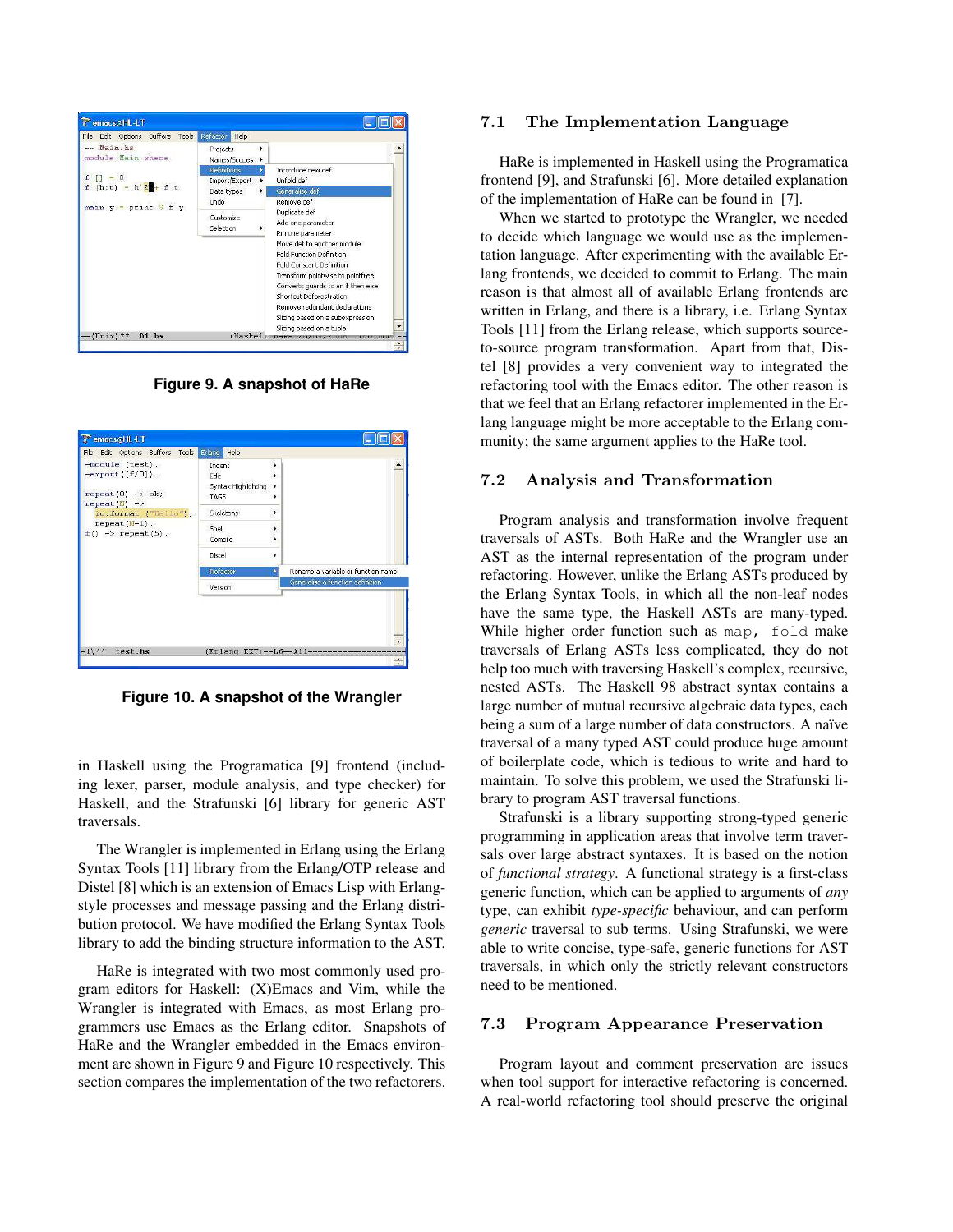

**Figure 9. A snapshot of HaRe**

| File Edit Options Buffers Tools                                                                                                                                              | Erlang Help                                                                              |                                    |
|------------------------------------------------------------------------------------------------------------------------------------------------------------------------------|------------------------------------------------------------------------------------------|------------------------------------|
| -module (test).<br>$-$ export ([f/0]).<br>$repeat(0)$ -> ok;<br>repeat $(N) \rightarrow$<br>io:format ("Hello"),<br>repeat $(N-1)$ .<br>$f() \rightarrow \text{repeat}(5)$ . | Indent<br>Edit<br>Syntax Highlighting<br>TAGS<br>Skeletons<br>Shell<br>Compile<br>Distel | ▶<br>٠<br>۰<br>٠<br>۲<br>¥<br>۰    |
|                                                                                                                                                                              | Refactor                                                                                 | Rename a variable or function name |
|                                                                                                                                                                              | Version                                                                                  | Generalise a function definition   |
|                                                                                                                                                                              |                                                                                          |                                    |
| $-11$ **<br>test.hs                                                                                                                                                          | $(Erlang EXT) --L6--All---$                                                              |                                    |

**Figure 10. A snapshot of the Wrangler**

in Haskell using the Programatica [9] frontend (including lexer, parser, module analysis, and type checker) for Haskell, and the Strafunski [6] library for generic AST traversals.

The Wrangler is implemented in Erlang using the Erlang Syntax Tools [11] library from the Erlang/OTP release and Distel [8] which is an extension of Emacs Lisp with Erlangstyle processes and message passing and the Erlang distribution protocol. We have modified the Erlang Syntax Tools library to add the binding structure information to the AST.

HaRe is integrated with two most commonly used program editors for Haskell: (X)Emacs and Vim, while the Wrangler is integrated with Emacs, as most Erlang programmers use Emacs as the Erlang editor. Snapshots of HaRe and the Wrangler embedded in the Emacs environment are shown in Figure 9 and Figure 10 respectively. This section compares the implementation of the two refactorers.

#### 7.1 The Implementation Language

HaRe is implemented in Haskell using the Programatica frontend [9], and Strafunski [6]. More detailed explanation of the implementation of HaRe can be found in [7].

When we started to prototype the Wrangler, we needed to decide which language we would use as the implementation language. After experimenting with the available Erlang frontends, we decided to commit to Erlang. The main reason is that almost all of available Erlang frontends are written in Erlang, and there is a library, i.e. Erlang Syntax Tools [11] from the Erlang release, which supports sourceto-source program transformation. Apart from that, Distel [8] provides a very convenient way to integrated the refactoring tool with the Emacs editor. The other reason is that we feel that an Erlang refactorer implemented in the Erlang language might be more acceptable to the Erlang community; the same argument applies to the HaRe tool.

#### 7.2 Analysis and Transformation

Program analysis and transformation involve frequent traversals of ASTs. Both HaRe and the Wrangler use an AST as the internal representation of the program under refactoring. However, unlike the Erlang ASTs produced by the Erlang Syntax Tools, in which all the non-leaf nodes have the same type, the Haskell ASTs are many-typed. While higher order function such as map, fold make traversals of Erlang ASTs less complicated, they do not help too much with traversing Haskell's complex, recursive, nested ASTs. The Haskell 98 abstract syntax contains a large number of mutual recursive algebraic data types, each being a sum of a large number of data constructors. A naïve traversal of a many typed AST could produce huge amount of boilerplate code, which is tedious to write and hard to maintain. To solve this problem, we used the Strafunski library to program AST traversal functions.

Strafunski is a library supporting strong-typed generic programming in application areas that involve term traversals over large abstract syntaxes. It is based on the notion of *functional strategy*. A functional strategy is a first-class generic function, which can be applied to arguments of *any* type, can exhibit *type-specific* behaviour, and can perform *generic* traversal to sub terms. Using Strafunski, we were able to write concise, type-safe, generic functions for AST traversals, in which only the strictly relevant constructors need to be mentioned.

#### 7.3 Program Appearance Preservation

Program layout and comment preservation are issues when tool support for interactive refactoring is concerned. A real-world refactoring tool should preserve the original